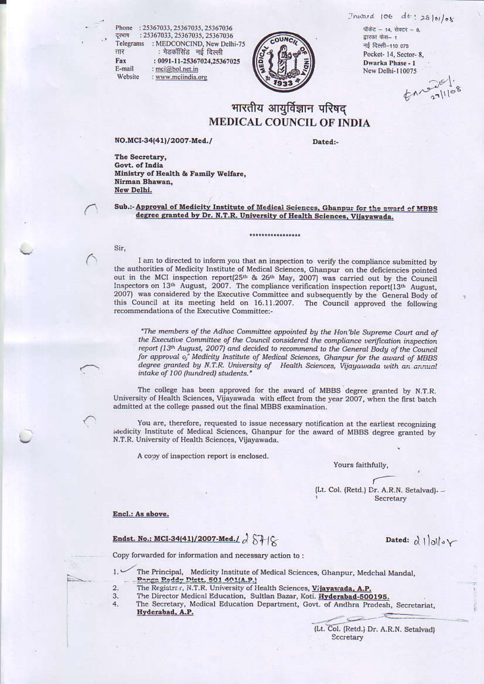$Thward 106 dt : 2810106$ 

Phone : 25367033, 25367035, 25367036 : 25367033, 25367035, 25367036 दरभाष Telegrams : MEDCONCIND, New Delhi-75 : मेडकॉसिंड नई दिल्ली सार : 0091-11-25367024,25367025 Fax E-mail : mci@bol.net.in Website : www.mciindia.org



#### पाकेंद्र - 14, सेक्टर - 8, द्वारका फैस- 1 नई दिल्ली-110 075 Pocket-14, Sector-8, Dwarka Phase - 1 New Delhi-110075

 $271108$ 

# भारतीय आयुर्विज्ञान परिषद् **MEDICAL COUNCIL OF INDIA**

#### NO.MCI-34(41)/2007-Med./

Dated:-

The Secretary, Govt. of India Ministry of Health & Family Welfare, Nirman Bhawan, New Delhi.

#### Sub.:- Approval of Medicity Institute of Medical Sciences, Ghanpur for the award of MBBS degree granted by Dr. N.T.R. University of Health Sciences, Vijayawada.

\*\*\*\*\*\*\*\*\*\*\*\*\*\*\*\*\*

#### Sir,

I am to directed to inform you that an inspection to verify the compliance submitted by the authorities of Medicity Institute of Medical Sciences, Ghanpur on the deficiencies pointed out in the MCI inspection report(25<sup>th</sup> & 26<sup>th</sup> May, 2007) was carried out by the Council Inspectors on 13th August, 2007. The compliance verification inspection report(13th August, 2007) was considered by the Executive Committee and subsequently by the General Body of this Council at its meeting held on 16.11.2007. The Council approved the following recommendations of the Executive Committee:-

"The members of the Adhoc Committee appointed by the Hon'ble Supreme Court and of the Executive Committee of the Council considered the compliance verification inspection report (13th August, 2007) and decided to recommend to the General Body of the Council for approval of Medicity Institute of Medical Sciences, Ghanpur for the award of MBBS degree granted by N.T.R. University of Health Sciences, Vijayawada with an annual intake of 100 (hundred) students."

The college has been approved for the award of MBBS degree granted by N.T.R. University of Health Sciences, Vijayawada with effect from the year 2007, when the first batch admitted at the college passed out the final MBBS examination.

You are, therefore, requested to issue necessary notification at the earliest recognizing Medicity Institute of Medical Sciences, Ghanpur for the award of MBBS degree granted by N.T.R. University of Health Sciences, Vijayawada.

A copy of inspection report is enclosed.

Yours faithfully,

(Lt. Col. (Retd.) Dr. A.R.N. Setalvad). -Secretary

Dated:  $\alpha$  |  $\alpha$  |  $\alpha$  |  $\alpha$ 

#### Encl.: As above.

## Endst. No.: MCI-34(41)/2007-Med./  $\partial \overleftrightarrow{\partial}$

Copy forwarded for information and necessary action to:

- 
- $1.3$ The Principal, Medicity Institute of Medical Sciences, Ghanpur, Medchal Mandal, <u> Panga Reddy Distt. 501 401(A.P.)</u>
- $2.$ The Registrac, N.T.R. University of Health Sciences, Vijayawada, A.P.
- The Director Medical Education, Sultlan Bazar, Koti. Hyderabad-500195. 3.
- The Secretary, Medical Education Department, Govt. of Andhra Pradesh, Secretariat, 4. Hyderabad, A.P.

(Lt. Col. (Retd.) Dr. A.R.N. Setalvad) Sccretary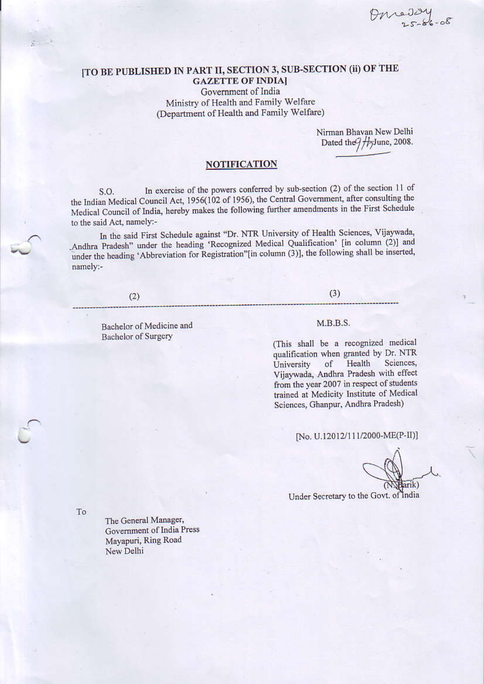Omeday

## [TO BE PUBLISHED IN PART II, SECTION 3, SUB-SECTION (ii) OF THE **GAZETTE OF INDIA]** Government of India

Ministry of Health and Family Welfare (Department of Health and Family Welfare)

> Nirman Bhavan New Delhi Dated the  $7/1/$ June, 2008.

## **NOTIFICATION**

In exercise of the powers conferred by sub-section (2) of the section 11 of S.O. the Indian Medical Council Act, 1956(102 of 1956), the Central Government, after consulting the Medical Council of India, hereby makes the following further amendments in the First Schedule to the said Act, namely:-

In the said First Schedule against "Dr. NTR University of Health Sciences, Vijaywada, Andhra Pradesh" under the heading 'Recognized Medical Qualification' [in column (2)] and under the heading 'Abbreviation for Registration"[in column (3)], the following shall be inserted, namely:-

#### $(2)$

Bachelor of Medicine and **Bachelor** of Surgery

 $(3)$ 

### $M.B.B.S.$

(This shall be a recognized medical qualification when granted by Dr. NTR Health Sciences. of University Vijaywada, Andhra Pradesh with effect from the year 2007 in respect of students trained at Medicity Institute of Medical Sciences, Ghanpur, Andhra Pradesh)

[No. U.12012/111/2000-ME(P-II)]

arik)

Under Secretary to the Govt. of India

To

The General Manager, Government of India Press Mayapuri, Ring Road New Delhi